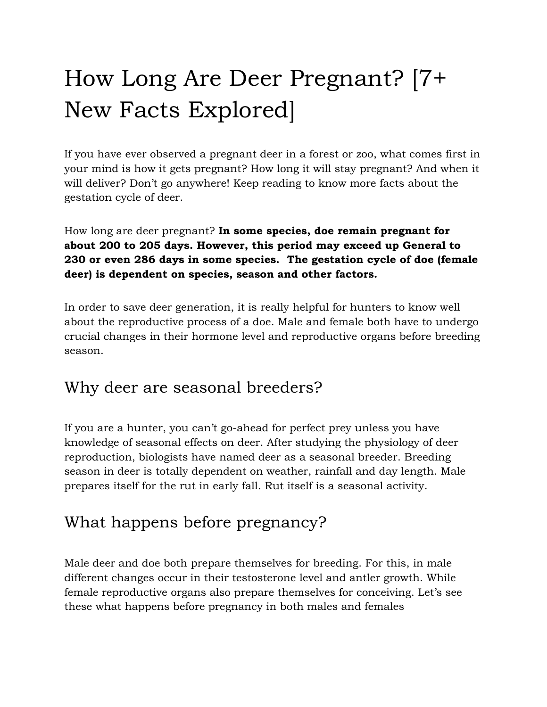# How Long Are Deer Pregnant? [7+ New Facts Explored]

If you have ever observed a pregnant deer in a forest or zoo, what comes first in your mind is how it gets pregnant? How long it will stay pregnant? And when it will deliver? Don't go anywhere! Keep reading to know more facts about the gestation cycle of deer.

How long are deer pregnant? **In some species, doe remain pregnant for about 200 to 205 days. However, this period may exceed up General to 230 or even 286 days in some species. The gestation cycle of doe (female deer) is dependent on species, season and other factors.**

In order to save deer generation, it is really helpful for hunters to know well about the reproductive process of a doe. Male and female both have to undergo crucial changes in their hormone level and reproductive organs before breeding season.

## Why deer are seasonal breeders?

If you are a hunter, you can't go-ahead for perfect prey unless you have knowledge of seasonal effects on deer. After studying the physiology of deer reproduction, biologists have named deer as a seasonal breeder. Breeding season in deer is totally dependent on weather, rainfall and day length. Male prepares itself for the rut in early fall. Rut itself is a seasonal activity.

## What happens before pregnancy?

Male deer and doe both prepare themselves for breeding. For this, in male different changes occur in their testosterone level and antler growth. While female reproductive organs also prepare themselves for conceiving. Let's see these what happens before pregnancy in both males and females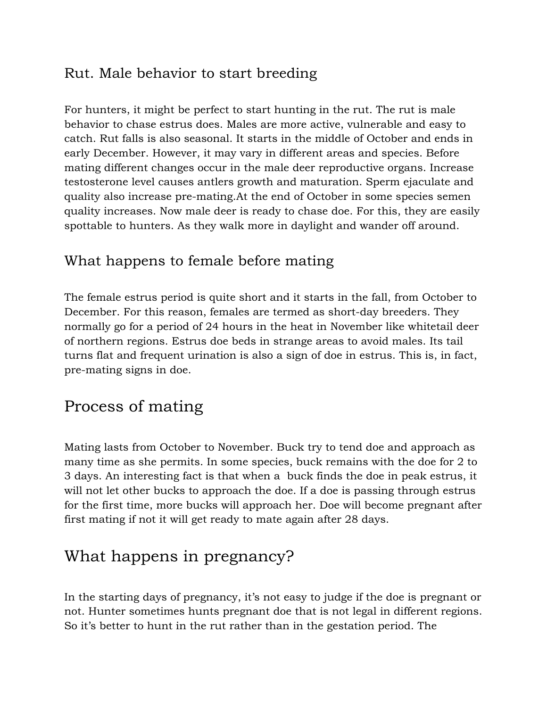#### Rut. Male behavior to start breeding

For hunters, it might be perfect to start hunting in the rut. The rut is male behavior to chase estrus does. Males are more active, vulnerable and easy to catch. Rut falls is also seasonal. It starts in the middle of October and ends in early December. However, it may vary in different areas and species. Before mating different changes occur in the male deer reproductive organs. Increase testosterone level causes antlers growth and maturation. Sperm ejaculate and quality also increase pre-mating.At the end of October in some species semen quality increases. Now male deer is ready to chase doe. For this, they are easily spottable to hunters. As they walk more in daylight and wander off around.

#### What happens to female before mating

The female estrus period is quite short and it starts in the fall, from October to December. For this reason, females are termed as short-day breeders. They normally go for a period of 24 hours in the heat in November like whitetail deer of northern regions. Estrus doe beds in strange areas to avoid males. Its tail turns flat and frequent urination is also a sign of doe in estrus. This is, in fact, pre-mating signs in doe.

### Process of mating

Mating lasts from October to November. Buck try to tend doe and approach as many time as she permits. In some species, buck remains with the doe for 2 to 3 days. An interesting fact is that when a buck finds the doe in peak estrus, it will not let other bucks to approach the doe. If a doe is passing through estrus for the first time, more bucks will approach her. Doe will become pregnant after first mating if not it will get ready to mate again after 28 days.

## What happens in pregnancy?

In the starting days of pregnancy, it's not easy to judge if the doe is pregnant or not. Hunter sometimes hunts pregnant doe that is not legal in different regions. So it's better to hunt in the rut rather than in the gestation period. The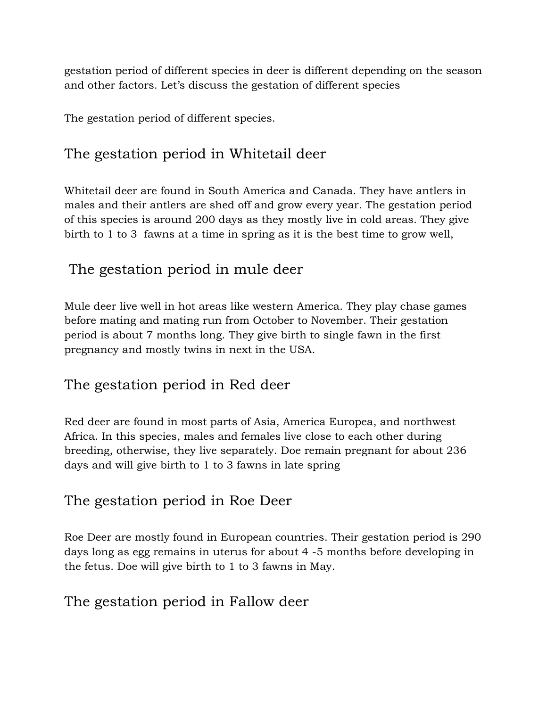gestation period of different species in deer is different depending on the season and other factors. Let's discuss the gestation of different species

The gestation period of different species.

#### The gestation period in Whitetail deer

Whitetail deer are found in South America and Canada. They have antlers in males and their antlers are shed off and grow every year. The gestation period of this species is around 200 days as they mostly live in cold areas. They give birth to 1 to 3 fawns at a time in spring as it is the best time to grow well,

#### The gestation period in mule deer

Mule deer live well in hot areas like western America. They play chase games before mating and mating run from October to November. Their gestation period is about 7 months long. They give birth to single fawn in the first pregnancy and mostly twins in next in the USA.

#### The gestation period in Red deer

Red deer are found in most parts of Asia, America Europea, and northwest Africa. In this species, males and females live close to each other during breeding, otherwise, they live separately. Doe remain pregnant for about 236 days and will give birth to 1 to 3 fawns in late spring

#### The gestation period in Roe Deer

Roe Deer are mostly found in European countries. Their gestation period is 290 days long as egg remains in uterus for about 4 -5 months before developing in the fetus. Doe will give birth to 1 to 3 fawns in May.

#### The gestation period in Fallow deer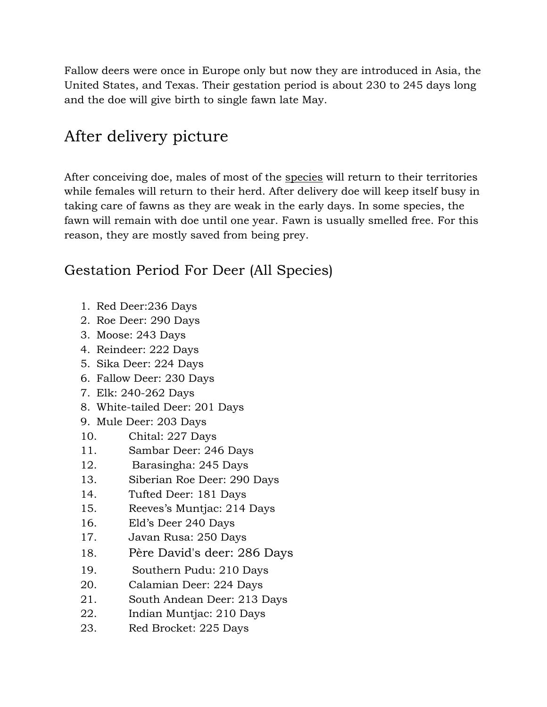Fallow deers were once in Europe only but now they are introduced in Asia, the United States, and Texas. Their gestation period is about 230 to 245 days long and the doe will give birth to single fawn late May.

## After delivery picture

After conceiving doe, males of most of the [species](https://en.wikipedia.org/wiki/Deer) will return to their territories while females will return to their herd. After delivery doe will keep itself busy in taking care of fawns as they are weak in the early days. In some species, the fawn will remain with doe until one year. Fawn is usually smelled free. For this reason, they are mostly saved from being prey.

#### Gestation Period For Deer (All Species)

- 1. Red Deer:236 Days
- 2. Roe Deer: 290 Days
- 3. Moose: 243 Days
- 4. Reindeer: 222 Days
- 5. Sika Deer: 224 Days
- 6. Fallow Deer: 230 Days
- 7. Elk: 240-262 Days
- 8. White-tailed Deer: 201 Days
- 9. Mule Deer: 203 Days
- 10. Chital: 227 Days
- 11. Sambar Deer: 246 Days
- 12. Barasingha: 245 Days
- 13. Siberian Roe Deer: 290 Days
- 14. Tufted Deer: 181 Days
- 15. Reeves's Muntjac: 214 Days
- 16. Eld's Deer 240 Days
- 17. Javan Rusa: 250 Days
- 18. Père David's deer: 286 Days
- 19. Southern Pudu: 210 Days
- 20. Calamian Deer: 224 Days
- 21. South Andean Deer: 213 Days
- 22. Indian Muntjac: 210 Days
- 23. Red Brocket: 225 Days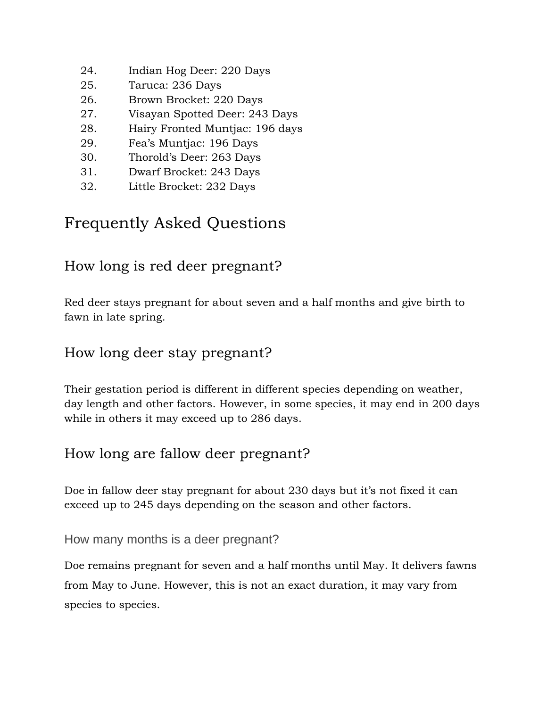- 24. Indian Hog Deer: 220 Days
- 25. Taruca: 236 Days
- 26. Brown Brocket: 220 Days
- 27. Visayan Spotted Deer: 243 Days
- 28. Hairy Fronted Muntjac: 196 days
- 29. Fea's Muntjac: 196 Days
- 30. Thorold's Deer: 263 Days
- 31. Dwarf Brocket: 243 Days
- 32. Little Brocket: 232 Days

## Frequently Asked Questions

#### How long is red deer pregnant?

Red deer stays pregnant for about seven and a half months and give birth to fawn in late spring.

#### How long deer stay pregnant?

Their gestation period is different in different species depending on weather, day length and other factors. However, in some species, it may end in 200 days while in others it may exceed up to 286 days.

#### How long are fallow deer pregnant?

Doe in fallow deer stay pregnant for about 230 days but it's not fixed it can exceed up to 245 days depending on the season and other factors.

#### How many months is a deer pregnant?

Doe remains pregnant for seven and a half months until May. It delivers fawns from May to June. However, this is not an exact duration, it may vary from species to species.